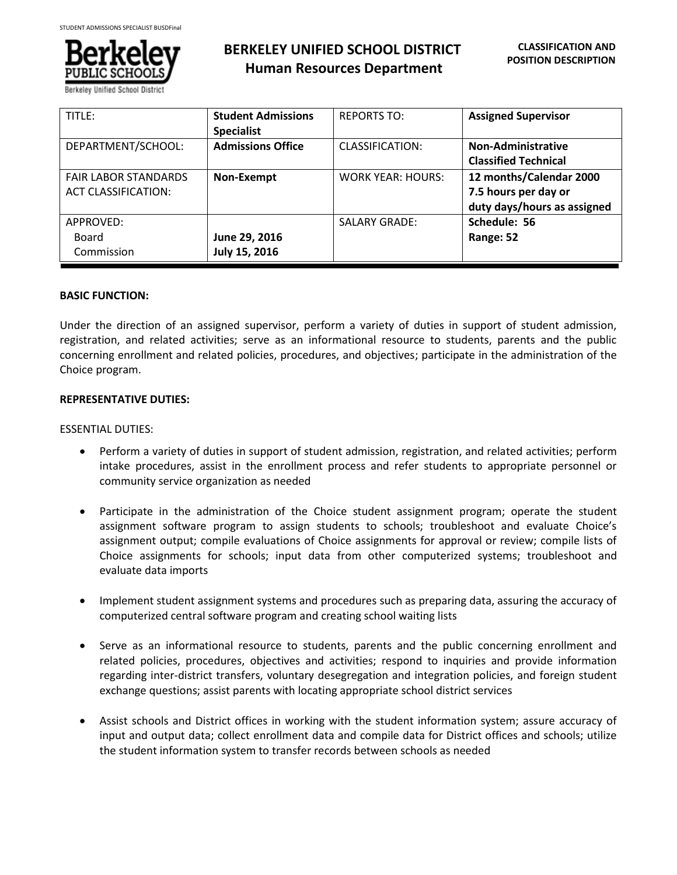

Berkeley Unified School D

# **BERKELEY UNIFIED SCHOOL DISTRICT Human Resources Department**

| TITLE:                                                    | <b>Student Admissions</b><br><b>Specialist</b> | <b>REPORTS TO:</b>       | <b>Assigned Supervisor</b>                                                     |
|-----------------------------------------------------------|------------------------------------------------|--------------------------|--------------------------------------------------------------------------------|
| DEPARTMENT/SCHOOL:                                        | <b>Admissions Office</b>                       | <b>CLASSIFICATION:</b>   | Non-Administrative<br><b>Classified Technical</b>                              |
| <b>FAIR LABOR STANDARDS</b><br><b>ACT CLASSIFICATION:</b> | Non-Exempt                                     | <b>WORK YEAR: HOURS:</b> | 12 months/Calendar 2000<br>7.5 hours per day or<br>duty days/hours as assigned |
| APPROVED:<br>Board<br>Commission                          | June 29, 2016<br>July 15, 2016                 | <b>SALARY GRADE:</b>     | Schedule: 56<br>Range: 52                                                      |

# **BASIC FUNCTION:**

Under the direction of an assigned supervisor, perform a variety of duties in support of student admission, registration, and related activities; serve as an informational resource to students, parents and the public concerning enrollment and related policies, procedures, and objectives; participate in the administration of the Choice program.

# **REPRESENTATIVE DUTIES:**

# ESSENTIAL DUTIES:

- Perform a variety of duties in support of student admission, registration, and related activities; perform intake procedures, assist in the enrollment process and refer students to appropriate personnel or community service organization as needed
- Participate in the administration of the Choice student assignment program; operate the student assignment software program to assign students to schools; troubleshoot and evaluate Choice's assignment output; compile evaluations of Choice assignments for approval or review; compile lists of Choice assignments for schools; input data from other computerized systems; troubleshoot and evaluate data imports
- Implement student assignment systems and procedures such as preparing data, assuring the accuracy of computerized central software program and creating school waiting lists
- Serve as an informational resource to students, parents and the public concerning enrollment and related policies, procedures, objectives and activities; respond to inquiries and provide information regarding inter-district transfers, voluntary desegregation and integration policies, and foreign student exchange questions; assist parents with locating appropriate school district services
- Assist schools and District offices in working with the student information system; assure accuracy of input and output data; collect enrollment data and compile data for District offices and schools; utilize the student information system to transfer records between schools as needed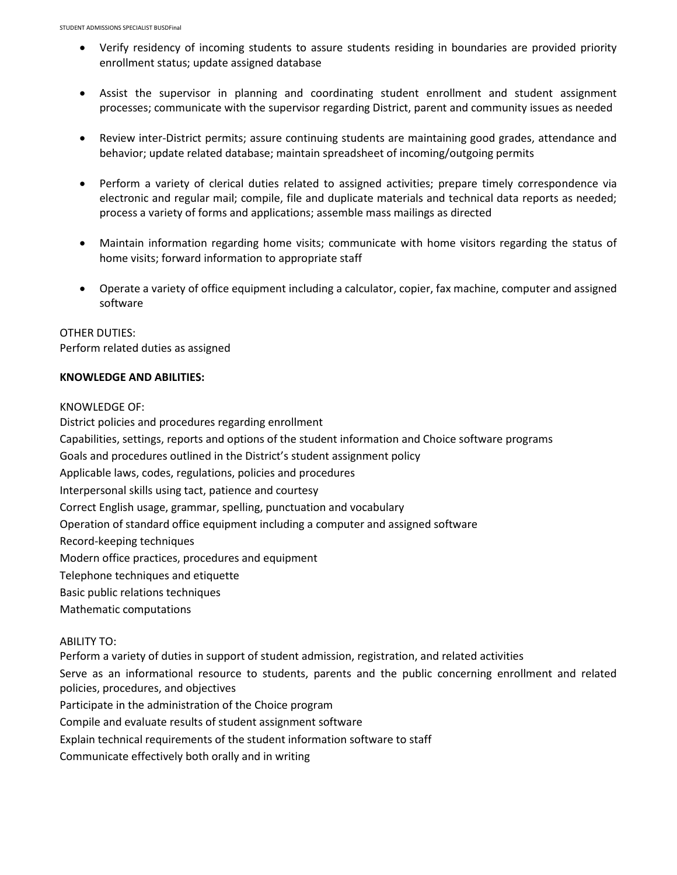- Verify residency of incoming students to assure students residing in boundaries are provided priority enrollment status; update assigned database
- Assist the supervisor in planning and coordinating student enrollment and student assignment processes; communicate with the supervisor regarding District, parent and community issues as needed
- Review inter-District permits; assure continuing students are maintaining good grades, attendance and behavior; update related database; maintain spreadsheet of incoming/outgoing permits
- Perform a variety of clerical duties related to assigned activities; prepare timely correspondence via electronic and regular mail; compile, file and duplicate materials and technical data reports as needed; process a variety of forms and applications; assemble mass mailings as directed
- Maintain information regarding home visits; communicate with home visitors regarding the status of home visits; forward information to appropriate staff
- Operate a variety of office equipment including a calculator, copier, fax machine, computer and assigned software

# OTHER DUTIES: Perform related duties as assigned

# **KNOWLEDGE AND ABILITIES:**

KNOWLEDGE OF:

District policies and procedures regarding enrollment Capabilities, settings, reports and options of the student information and Choice software programs Goals and procedures outlined in the District's student assignment policy Applicable laws, codes, regulations, policies and procedures Interpersonal skills using tact, patience and courtesy Correct English usage, grammar, spelling, punctuation and vocabulary Operation of standard office equipment including a computer and assigned software Record-keeping techniques Modern office practices, procedures and equipment Telephone techniques and etiquette Basic public relations techniques Mathematic computations ABILITY TO: Perform a variety of duties in support of student admission, registration, and related activities Serve as an informational resource to students, parents and the public concerning enrollment and related policies, procedures, and objectives Participate in the administration of the Choice program

- Compile and evaluate results of student assignment software
- Explain technical requirements of the student information software to staff
- Communicate effectively both orally and in writing